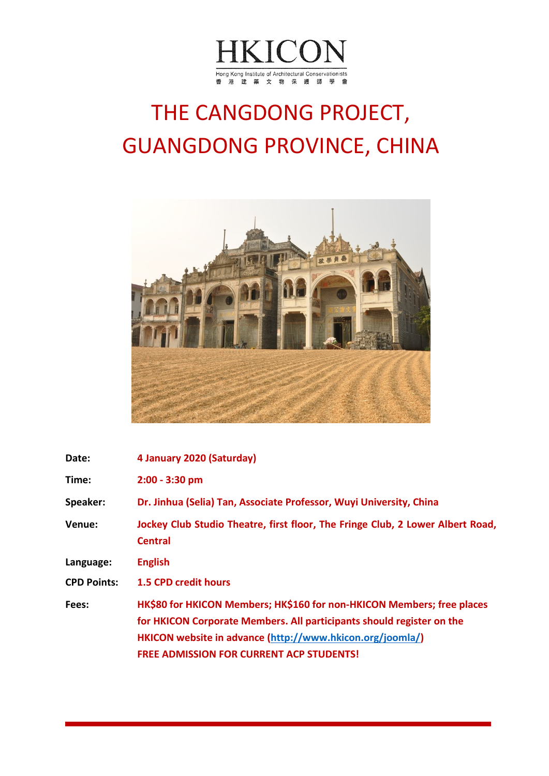

## THE CANGDONG PROJECT, GUANGDONG PROVINCE, CHINA



| Date:              | 4 January 2020 (Saturday)                                                                                                                                                                                                                                       |
|--------------------|-----------------------------------------------------------------------------------------------------------------------------------------------------------------------------------------------------------------------------------------------------------------|
| Time:              | $2:00 - 3:30$ pm                                                                                                                                                                                                                                                |
| Speaker:           | Dr. Jinhua (Selia) Tan, Associate Professor, Wuyi University, China                                                                                                                                                                                             |
| <b>Venue:</b>      | Jockey Club Studio Theatre, first floor, The Fringe Club, 2 Lower Albert Road,<br><b>Central</b>                                                                                                                                                                |
| Language:          | <b>English</b>                                                                                                                                                                                                                                                  |
| <b>CPD Points:</b> | <b>1.5 CPD credit hours</b>                                                                                                                                                                                                                                     |
| Fees:              | HK\$80 for HKICON Members; HK\$160 for non-HKICON Members; free places<br>for HKICON Corporate Members. All participants should register on the<br>HKICON website in advance (http://www.hkicon.org/joomla/)<br><b>FREE ADMISSION FOR CURRENT ACP STUDENTS!</b> |